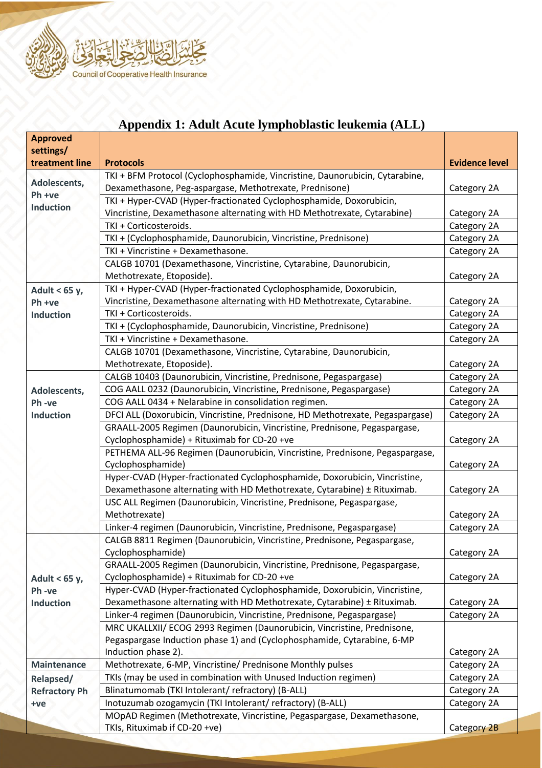

|                              | Appendix 1: Adult Acute Tymphobiasuc Ieukenna (ALL)                                    |                       |
|------------------------------|----------------------------------------------------------------------------------------|-----------------------|
| <b>Approved</b><br>settings/ |                                                                                        |                       |
| treatment line               | <b>Protocols</b>                                                                       | <b>Evidence level</b> |
|                              | TKI + BFM Protocol (Cyclophosphamide, Vincristine, Daunorubicin, Cytarabine,           |                       |
| Adolescents,                 | Dexamethasone, Peg-aspargase, Methotrexate, Prednisone)                                | Category 2A           |
| Ph +ve                       | TKI + Hyper-CVAD (Hyper-fractionated Cyclophosphamide, Doxorubicin,                    |                       |
| <b>Induction</b>             | Vincristine, Dexamethasone alternating with HD Methotrexate, Cytarabine)               | Category 2A           |
|                              | TKI + Corticosteroids.                                                                 | Category 2A           |
|                              | TKI + (Cyclophosphamide, Daunorubicin, Vincristine, Prednisone)                        | Category 2A           |
|                              | TKI + Vincristine + Dexamethasone.                                                     | Category 2A           |
|                              | CALGB 10701 (Dexamethasone, Vincristine, Cytarabine, Daunorubicin,                     |                       |
|                              | Methotrexate, Etoposide).                                                              | Category 2A           |
| Adult < $65 y,$              | TKI + Hyper-CVAD (Hyper-fractionated Cyclophosphamide, Doxorubicin,                    |                       |
| Ph +ve                       | Vincristine, Dexamethasone alternating with HD Methotrexate, Cytarabine.               | Category 2A           |
| <b>Induction</b>             | TKI + Corticosteroids.                                                                 | Category 2A           |
|                              | TKI + (Cyclophosphamide, Daunorubicin, Vincristine, Prednisone)                        | Category 2A           |
|                              | TKI + Vincristine + Dexamethasone.                                                     | Category 2A           |
|                              | CALGB 10701 (Dexamethasone, Vincristine, Cytarabine, Daunorubicin,                     |                       |
|                              | Methotrexate, Etoposide).                                                              | Category 2A           |
|                              | CALGB 10403 (Daunorubicin, Vincristine, Prednisone, Pegaspargase)                      | Category 2A           |
| Adolescents,                 | COG AALL 0232 (Daunorubicin, Vincristine, Prednisone, Pegaspargase)                    | Category 2A           |
| Ph-ve                        | COG AALL 0434 + Nelarabine in consolidation regimen.                                   | Category 2A           |
| <b>Induction</b>             | DFCI ALL (Doxorubicin, Vincristine, Prednisone, HD Methotrexate, Pegaspargase)         | Category 2A           |
|                              | GRAALL-2005 Regimen (Daunorubicin, Vincristine, Prednisone, Pegaspargase,              |                       |
|                              | Cyclophosphamide) + Rituximab for CD-20 +ve                                            | Category 2A           |
|                              | PETHEMA ALL-96 Regimen (Daunorubicin, Vincristine, Prednisone, Pegaspargase,           |                       |
|                              | Cyclophosphamide)                                                                      | Category 2A           |
|                              | Hyper-CVAD (Hyper-fractionated Cyclophosphamide, Doxorubicin, Vincristine,             |                       |
|                              | Dexamethasone alternating with HD Methotrexate, Cytarabine) ± Rituximab.               | Category 2A           |
|                              | USC ALL Regimen (Daunorubicin, Vincristine, Prednisone, Pegaspargase,<br>Methotrexate) | Category 2A           |
|                              | Linker-4 regimen (Daunorubicin, Vincristine, Prednisone, Pegaspargase)                 | Category 2A           |
|                              | CALGB 8811 Regimen (Daunorubicin, Vincristine, Prednisone, Pegaspargase,               |                       |
|                              | Cyclophosphamide)                                                                      | Category 2A           |
|                              | GRAALL-2005 Regimen (Daunorubicin, Vincristine, Prednisone, Pegaspargase,              |                       |
| Adult < 65 y,                | Cyclophosphamide) + Rituximab for CD-20 +ve                                            | Category 2A           |
| Ph-ve                        | Hyper-CVAD (Hyper-fractionated Cyclophosphamide, Doxorubicin, Vincristine,             |                       |
| <b>Induction</b>             | Dexamethasone alternating with HD Methotrexate, Cytarabine) ± Rituximab.               | Category 2A           |
|                              | Linker-4 regimen (Daunorubicin, Vincristine, Prednisone, Pegaspargase)                 | Category 2A           |
|                              | MRC UKALLXII/ ECOG 2993 Regimen (Daunorubicin, Vincristine, Prednisone,                |                       |
|                              | Pegaspargase Induction phase 1) and (Cyclophosphamide, Cytarabine, 6-MP                |                       |
|                              | Induction phase 2).                                                                    | Category 2A           |
| <b>Maintenance</b>           | Methotrexate, 6-MP, Vincristine/ Prednisone Monthly pulses                             | Category 2A           |
| Relapsed/                    | TKIs (may be used in combination with Unused Induction regimen)                        | Category 2A           |
| <b>Refractory Ph</b>         | Blinatumomab (TKI Intolerant/ refractory) (B-ALL)                                      | Category 2A           |
| +ve                          | Inotuzumab ozogamycin (TKI Intolerant/ refractory) (B-ALL)                             | Category 2A           |
|                              | MOpAD Regimen (Methotrexate, Vincristine, Pegaspargase, Dexamethasone,                 |                       |
|                              | TKIs, Rituximab if CD-20 +ve)                                                          | Category 2B           |

## **Appendix 1: Adult Acute lymphoblastic leukemia (ALL)**